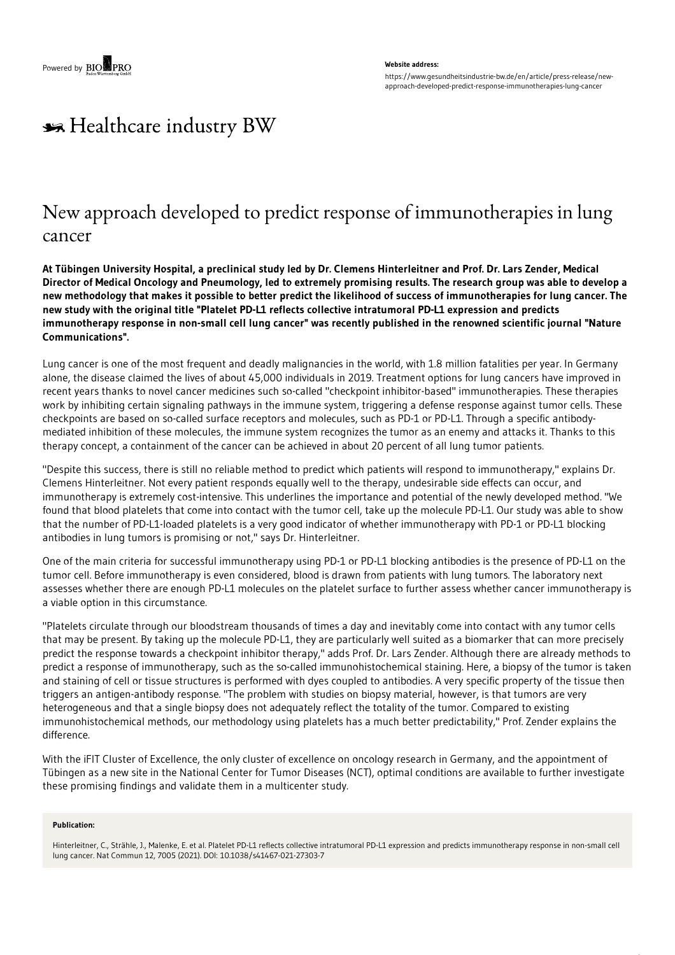### **Website address:**

https://www.gesundheitsindustrie-bw.de/en/article/press-release/newapproach-developed-predict-response-immunotherapies-lung-cancer

# \*\* Healthcare industry BW

## New approach developed to predict response of immunotherapies in lung cancer

At Tübingen University Hospital, a preclinical study led by Dr. Clemens Hinterleitner and Prof. Dr. Lars Zender, Medical Director of Medical Oncology and Pneumology, led to extremely promising results. The research group was able to develop a new methodology that makes it possible to better predict the likelihood of success of immunotherapies for lung cancer. The **new study with the original title "Platelet PD-L1 reflects collective intratumoral PD-L1 expression and predicts** immunotherapy response in non-small cell lung cancer" was recently published in the renowned scientific journal "Nature **Communications".**

Lung cancer is one of the most frequent and deadly malignancies in the world, with 1.8 million fatalities per year. In Germany alone, the disease claimed the lives of about 45,000 individuals in 2019. Treatment options for lung cancers have improved in recent years thanks to novel cancer medicines such so-called "checkpoint inhibitor-based" immunotherapies. These therapies work by inhibiting certain signaling pathways in the immune system, triggering a defense response against tumor cells. These checkpoints are based on so-called surface receptors and molecules, such as PD-1 or PD-L1. Through a specific antibodymediated inhibition of these molecules, the immune system recognizes the tumor as an enemy and attacks it. Thanks to this therapy concept, a containment of the cancer can be achieved in about 20 percent of all lung tumor patients.

"Despite this success, there is still no reliable method to predict which patients will respond to immunotherapy," explains Dr. Clemens Hinterleitner. Not every patient responds equally well to the therapy, undesirable side effects can occur, and immunotherapy is extremely cost-intensive. This underlines the importance and potential of the newly developed method. "We found that blood platelets that come into contact with the tumor cell, take up the molecule PD-L1. Our study was able to show that the number of PD-L1-loaded platelets is a very good indicator of whether immunotherapy with PD-1 or PD-L1 blocking antibodies in lung tumors is promising or not," says Dr. Hinterleitner.

One of the main criteria for successful immunotherapy using PD-1 or PD-L1 blocking antibodies is the presence of PD-L1 on the tumor cell. Before immunotherapy is even considered, blood is drawn from patients with lung tumors. The laboratory next assesses whether there are enough PD-L1 molecules on the platelet surface to further assess whether cancer immunotherapy is a viable option in this circumstance.

"Platelets circulate through our bloodstream thousands of times a day and inevitably come into contact with any tumor cells that may be present. By taking up the molecule PD-L1, they are particularly well suited as a biomarker that can more precisely predict the response towards a checkpoint inhibitor therapy," adds Prof. Dr. Lars Zender. Although there are already methods to predict a response of immunotherapy, such as the so-called immunohistochemical staining. Here, a biopsy of the tumor is taken and staining of cell or tissue structures is performed with dyes coupled to antibodies. A very specific property of the tissue then triggers an antigen-antibody response. "The problem with studies on biopsy material, however, is that tumors are very heterogeneous and that a single biopsy does not adequately reflect the totality of the tumor. Compared to existing immunohistochemical methods, our methodology using platelets has a much better predictability," Prof. Zender explains the difference.

With the iFIT Cluster of Excellence, the only cluster of excellence on oncology research in Germany, and the appointment of Tübingen as a new site in the National Center for Tumor Diseases (NCT), optimal conditions are available to further investigate these promising findings and validate them in a multicenter study.

#### **Publication:**

Hinterleitner, C., Strähle, J., Malenke, E. et al. Platelet PD-L1 reflects collective intratumoral PD-L1 expression and predicts immunotherapy response in non-small cell lung cancer. Nat Commun 12, 7005 (2021). DOI: 10.1038/s41467-021-27303-7